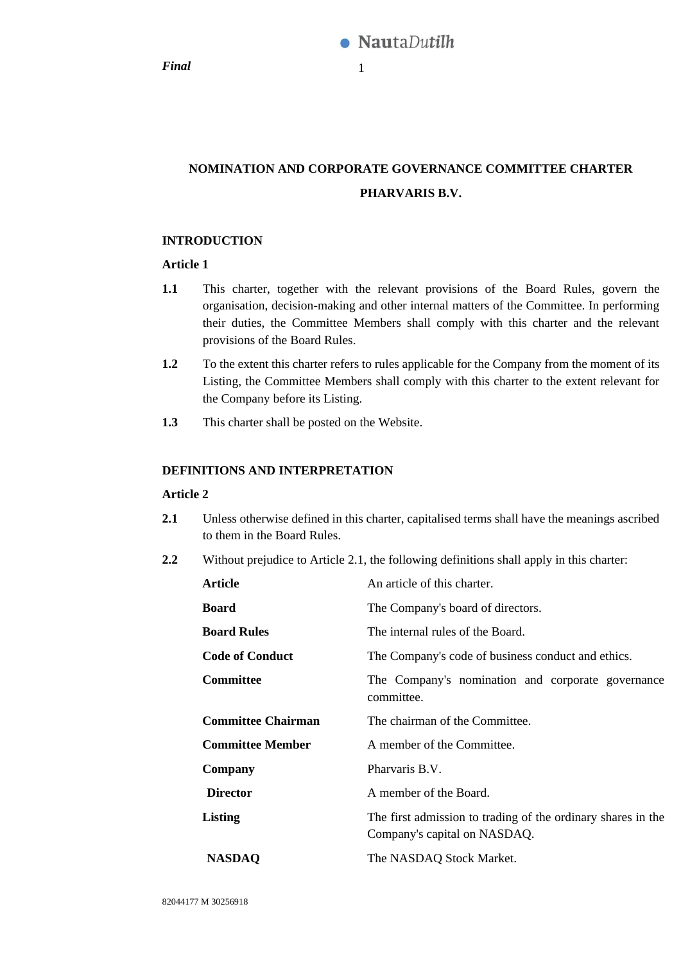*Final* 1

# **NOMINATION AND CORPORATE GOVERNANCE COMMITTEE CHARTER PHARVARIS B.V.**

## **INTRODUCTION**

## **Article 1**

- **1.1** This charter, together with the relevant provisions of the Board Rules, govern the organisation, decision-making and other internal matters of the Committee. In performing their duties, the Committee Members shall comply with this charter and the relevant provisions of the Board Rules.
- **1.2** To the extent this charter refers to rules applicable for the Company from the moment of its Listing, the Committee Members shall comply with this charter to the extent relevant for the Company before its Listing.
- **1.3** This charter shall be posted on the Website.

## **DEFINITIONS AND INTERPRETATION**

## **Article 2**

- <span id="page-0-0"></span>**2.1** Unless otherwise defined in this charter, capitalised terms shall have the meanings ascribed to them in the Board Rules.
- **2.2** Without prejudice to Article [2.1,](#page-0-0) the following definitions shall apply in this charter:

| <b>Article</b>            | An article of this charter.                                                                  |  |
|---------------------------|----------------------------------------------------------------------------------------------|--|
| <b>Board</b>              | The Company's board of directors.                                                            |  |
| <b>Board Rules</b>        | The internal rules of the Board.                                                             |  |
| <b>Code of Conduct</b>    | The Company's code of business conduct and ethics.                                           |  |
| <b>Committee</b>          | The Company's nomination and corporate governance<br>committee.                              |  |
| <b>Committee Chairman</b> | The chairman of the Committee.                                                               |  |
| <b>Committee Member</b>   | A member of the Committee.                                                                   |  |
| Company                   | Pharvaris B.V.                                                                               |  |
| <b>Director</b>           | A member of the Board.                                                                       |  |
| Listing                   | The first admission to trading of the ordinary shares in the<br>Company's capital on NASDAQ. |  |
| <b>NASDAQ</b>             | The NASDAQ Stock Market.                                                                     |  |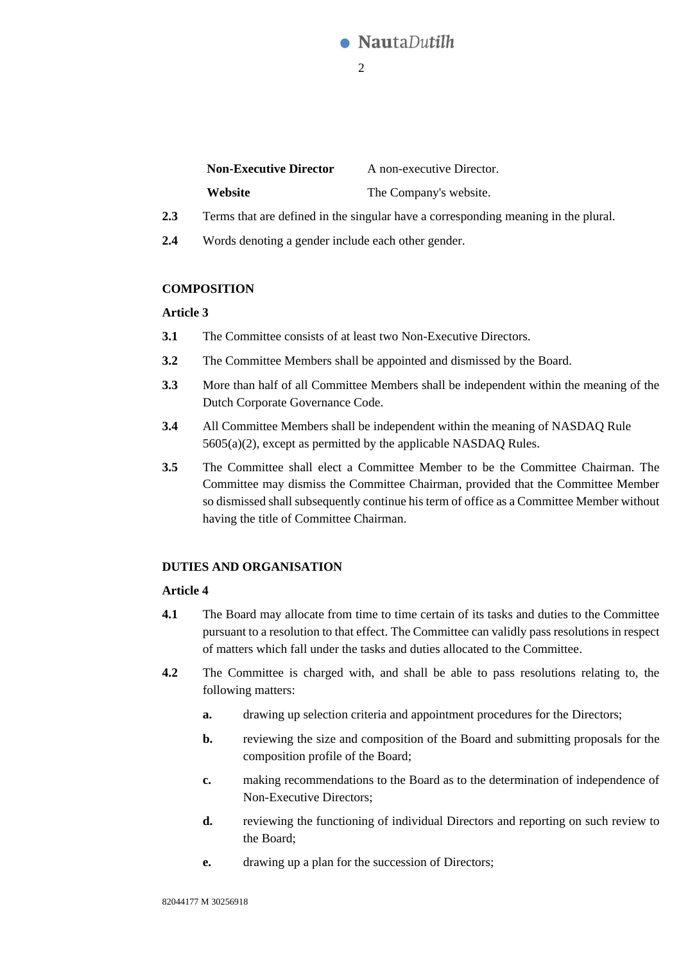

| <b>Non-Executive Director</b> | A non-executive Director. |
|-------------------------------|---------------------------|
| Website                       | The Company's website.    |

- **2.3** Terms that are defined in the singular have a corresponding meaning in the plural.
- **2.4** Words denoting a gender include each other gender.

## **COMPOSITION**

## **Article 3**

- **3.1** The Committee consists of at least two Non-Executive Directors.
- **3.2** The Committee Members shall be appointed and dismissed by the Board.
- **3.3** More than half of all Committee Members shall be independent within the meaning of the Dutch Corporate Governance Code.
- **3.4** All Committee Members shall be independent within the meaning of NASDAQ Rule 5605(a)(2), except as permitted by the applicable NASDAQ Rules.
- **3.5** The Committee shall elect a Committee Member to be the Committee Chairman. The Committee may dismiss the Committee Chairman, provided that the Committee Member so dismissed shall subsequently continue his term of office as a Committee Member without having the title of Committee Chairman.

## **DUTIES AND ORGANISATION**

## **Article 4**

- **4.1** The Board may allocate from time to time certain of its tasks and duties to the Committee pursuant to a resolution to that effect. The Committee can validly pass resolutions in respect of matters which fall under the tasks and duties allocated to the Committee.
- **4.2** The Committee is charged with, and shall be able to pass resolutions relating to, the following matters:
	- **a.** drawing up selection criteria and appointment procedures for the Directors;
	- **b.** reviewing the size and composition of the Board and submitting proposals for the composition profile of the Board;
	- **c.** making recommendations to the Board as to the determination of independence of Non-Executive Directors;
	- **d.** reviewing the functioning of individual Directors and reporting on such review to the Board;
	- **e.** drawing up a plan for the succession of Directors;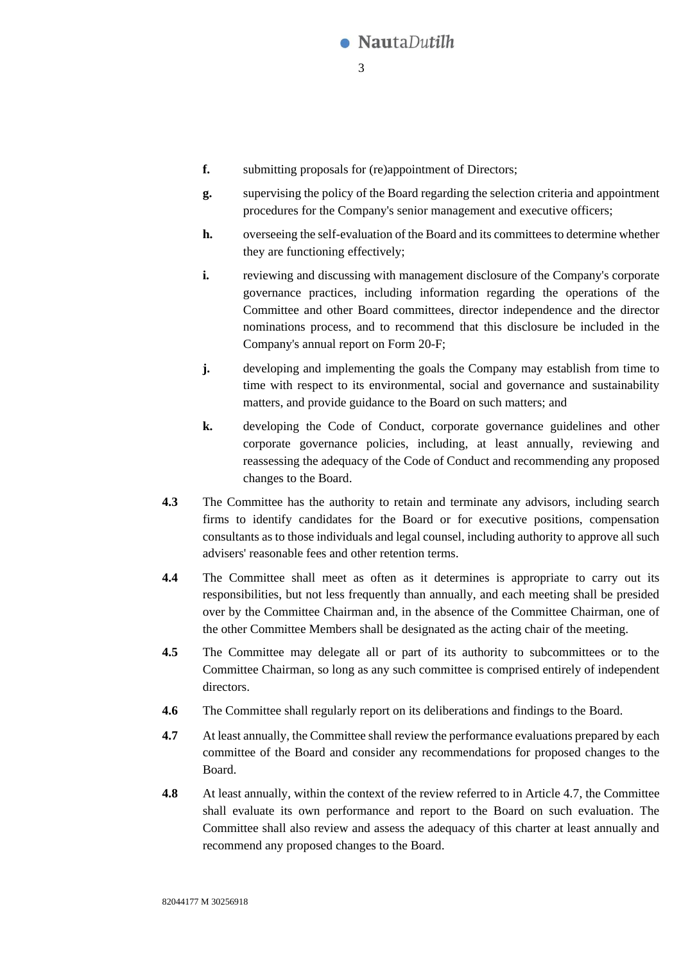

- **f.** submitting proposals for (re)appointment of Directors;
- **g.** supervising the policy of the Board regarding the selection criteria and appointment procedures for the Company's senior management and executive officers;
- **h.** overseeing the self-evaluation of the Board and its committees to determine whether they are functioning effectively;
- **i.** reviewing and discussing with management disclosure of the Company's corporate governance practices, including information regarding the operations of the Committee and other Board committees, director independence and the director nominations process, and to recommend that this disclosure be included in the Company's annual report on Form 20-F;
- **j.** developing and implementing the goals the Company may establish from time to time with respect to its environmental, social and governance and sustainability matters, and provide guidance to the Board on such matters; and
- **k.** developing the Code of Conduct, corporate governance guidelines and other corporate governance policies, including, at least annually, reviewing and reassessing the adequacy of the Code of Conduct and recommending any proposed changes to the Board.
- **4.3** The Committee has the authority to retain and terminate any advisors, including search firms to identify candidates for the Board or for executive positions, compensation consultants as to those individuals and legal counsel, including authority to approve all such advisers' reasonable fees and other retention terms.
- **4.4** The Committee shall meet as often as it determines is appropriate to carry out its responsibilities, but not less frequently than annually, and each meeting shall be presided over by the Committee Chairman and, in the absence of the Committee Chairman, one of the other Committee Members shall be designated as the acting chair of the meeting.
- **4.5** The Committee may delegate all or part of its authority to subcommittees or to the Committee Chairman, so long as any such committee is comprised entirely of independent directors.
- **4.6** The Committee shall regularly report on its deliberations and findings to the Board.
- <span id="page-2-0"></span>**4.7** At least annually, the Committee shall review the performance evaluations prepared by each committee of the Board and consider any recommendations for proposed changes to the Board.
- **4.8** At least annually, within the context of the review referred to in Articl[e 4.7,](#page-2-0) the Committee shall evaluate its own performance and report to the Board on such evaluation. The Committee shall also review and assess the adequacy of this charter at least annually and recommend any proposed changes to the Board.